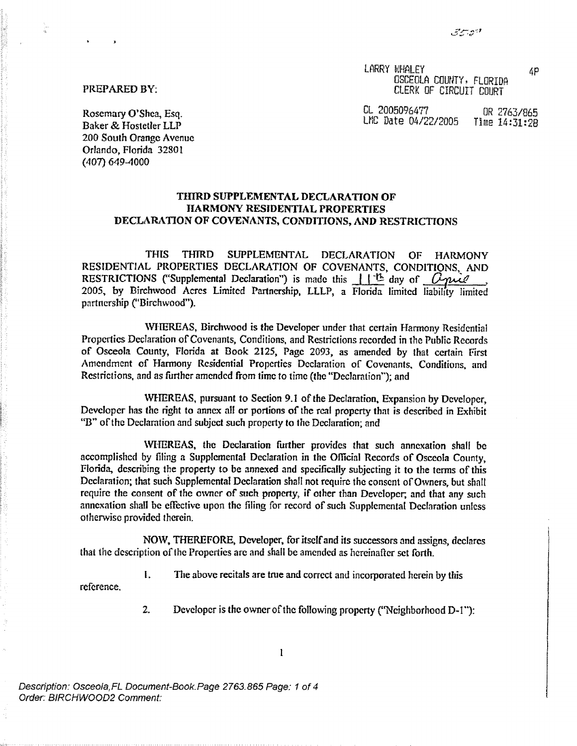LARRY WHALEY 4P OSCEOLA COUNTY, FLORIDA CLERK OF CIRCUIT COURT

PREPARED BY:

Rosemary O'Shea, Esq. (E. 2005096477 OR 2763/865<br>
Rosemary O'Shea, Esq. (E. 2005096477 OR 2763/865 LMC Date 04/22/2005

Baker & Hostetler LLP *200* **South Orange** Avenue Orlando, Florida 32801 (407) 649-4000

## THIRD SUPPLEMENTAL DECLARATION OF HARMONY" RESIDENTIAL PROPERTIES DECLARATION OF COVENANTS, CONDITIONS, AND RESTRICTIONS

**THIS THIRD SUPPLEMENTAL DECLARATION OF HARMONY** RESIDENTIAL PROPERTIES DECLARATION OF COVENANTS, CONDITIONS, AND **RESTRICTIONS** ("Supplemental Declaration") is made this  $\frac{1}{1}$   $\frac{1}{1}$  day of  $\frac{0}{2}$  ... **partnership ("Birchwood") .**

AVIfEREAS, Birchwood is the Developer under that certain Harmony Residential Properties Declaration of Covenants, Conditions, and Restrictions recorded in the Public Records of Osceola County, Florida at Book 2125, Page 2093, as amended by that certain First Amendment of Harmony Residential Properties Declaration of Covenants, Conditions, and Restrictions, and as further amended from time to time (the "Declaration'"); and

WHEREAS, pursuant to Section 9.1 of the Declaration, Expansion by Developer, Developer has the right to annex all or portions of the real property that is described in Exhibit "B" of the Declaration and subject such property to the Declaration; and

tVIIEREAS, the Declaration further provides that such annexation shall be accomplished by filing a Supplemental Declaration in the Official Records of Osceola County, Florida, describing the property to be annexed and specifically subjecting it to the terms of this Declaration; that such Supplemental Declaration shall not require the consent of Owners, but shalt require the consent of the owner of such property, if other than Developer, and that any such annexation shall be effective upon the filing for record of such Supplemental Declaration unless otherwise provided therein.

NOXV, THEREFORE, **Developer,** for itself and **its successors and assigns, declares** that the description of the Properties arc and shall be amended as hereinafter **set** *forth.*

**I** The above recitals are true and correct and incorporated herein by this

reference .

2. Developer is the owner of the following property ("Neighborhood D-1"):

 $\mathbf{l}$ 

*Description : Osceola,FL Document-Book. Page* 2763.865 *Page: 1 of4 Order. BIRCHWOOD2 Comment:*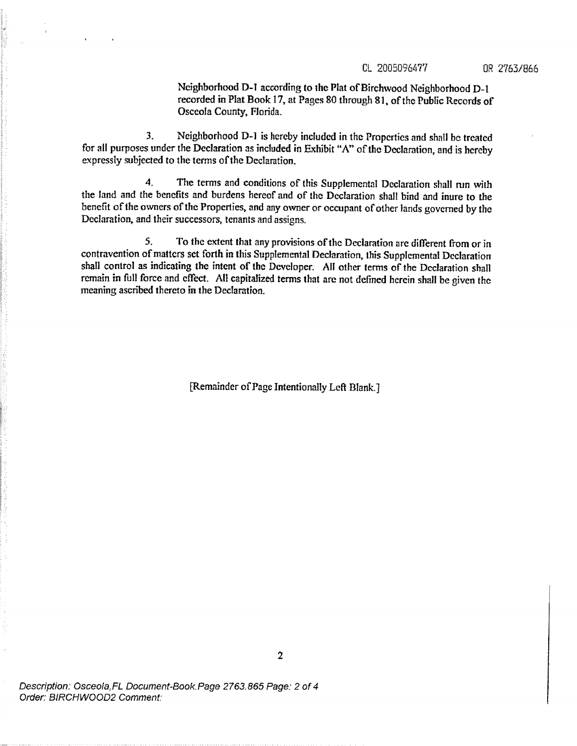## CL 2005096477 OR 2763/866

**Neighborhood D-t according to the Plat of Birchwood Neighborhood D- <sup>1</sup> recorded in Plat Book 17, at Pages 80 through 81, of the Public Records of Osceola County, Florida\_**

**3. Neighborhood D-l is hereby included in the Properties and shall be** tr**eated for all purposes under the Declaration as included** <sup>i</sup>**n Exhibit "A" of the Declaration, and is hereby expressly subjected to the terms of the Declaration.**

**4. The terms and conditions of this Supplemental Declaration shall run with the land and the bene**fi**ts and burdens hereof and of the Declaration shall bind and inure to the** benefit of the owners of the Properties, and any owner or occupant of other lands governed by the **Declaration, and their successors, tenants and assigns.**

**5. To the extent that any provisions of the Declaration are different from or in contravention of matters set** *fo*rt*h* <sup>i</sup>**n this Supplemental Declaration, this Supplemental Declaration shall control as indicating** the **intent of the Developer. All other terms of the Declaration shall remain in fall force and effect . All capitalized terms that are not defined herein shall be given the meaning ascribed thereto in the Declaration.**

**[Remainder** of Fags **Intentionally** Left Blank.]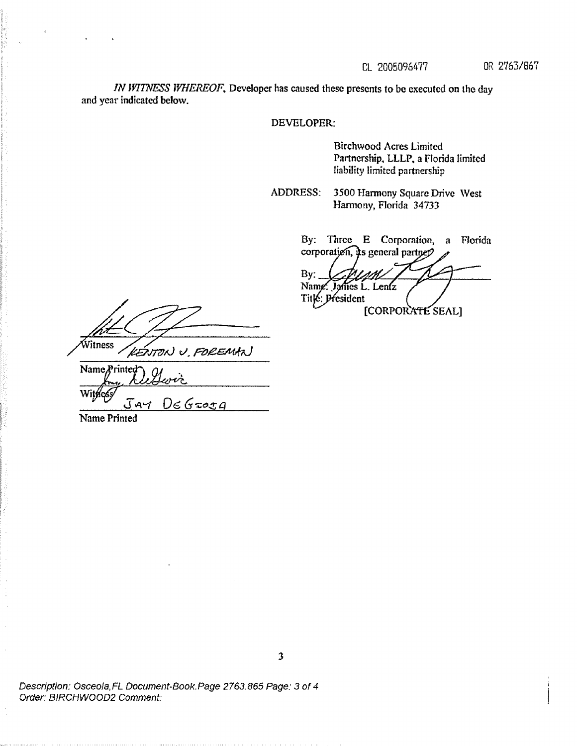*IN WITNESS WHEREOF*, Developer has caused these presents to be executed on the day **and year** i**ndicated below.**

## DEVELOPER:

**Birchwood** Acres Limited **Pa**rt**nership,** LLLP, **a Florida limited liability limited partnership**

**ADDRESS. 3500 Harmony Square Drive West Harmony, Florida 34733**

> By: Three E Corporation, a Florida corporation,  $\mu$ s general partne $\mathcal{P}$

*By:* Name. James L. Lenfz<br>Title: President [CORPORATE SEAL]

Vitness KENTON U. FOREMAN

Name*Printed* Witkes  $DeG$  $J$ *A* $\tau$ 

Name Printed

*Description : Osceola,FL Document-Book. Page* 2763.865 *Page: 3 of 4 Order.'* BIRCHWOOD2 *Comment.*